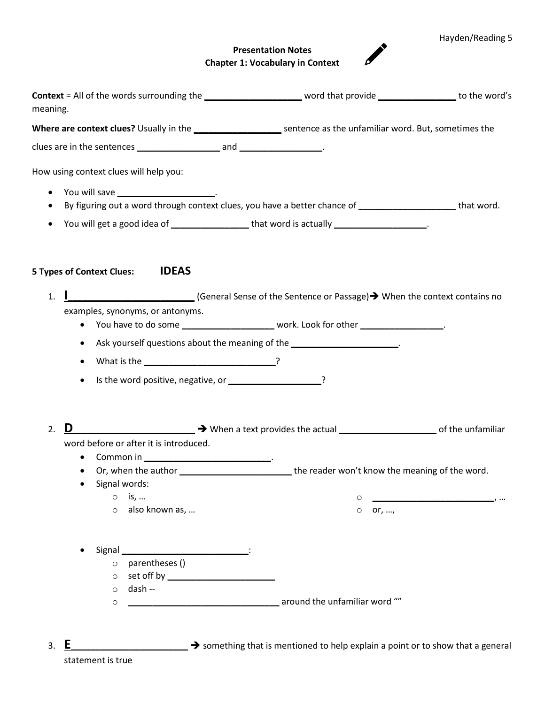## **Presentation Notes Chapter 1: Vocabulary in Context**

| meaning.  |                                                                                       | Context = All of the words surrounding the _______________________ word that provide ________________ to the word's |  |  |  |  |  |  |  |
|-----------|---------------------------------------------------------------------------------------|---------------------------------------------------------------------------------------------------------------------|--|--|--|--|--|--|--|
|           |                                                                                       | Where are context clues? Usually in the _______________________ sentence as the unfamiliar word. But, sometimes the |  |  |  |  |  |  |  |
|           |                                                                                       |                                                                                                                     |  |  |  |  |  |  |  |
|           | How using context clues will help you:                                                |                                                                                                                     |  |  |  |  |  |  |  |
| $\bullet$ |                                                                                       |                                                                                                                     |  |  |  |  |  |  |  |
|           |                                                                                       | By figuring out a word through context clues, you have a better chance of ______________________that word.          |  |  |  |  |  |  |  |
| $\bullet$ |                                                                                       | You will get a good idea of _____________________that word is actually ______________________.                      |  |  |  |  |  |  |  |
| 1.        | <b>IDEAS</b><br><b>5 Types of Context Clues:</b>                                      | (General Sense of the Sentence or Passage) → When the context contains no                                           |  |  |  |  |  |  |  |
|           | examples, synonyms, or antonyms.                                                      |                                                                                                                     |  |  |  |  |  |  |  |
|           |                                                                                       | • You have to do some ____________________________ work. Look for other ___________________.                        |  |  |  |  |  |  |  |
|           | Ask yourself questions about the meaning of the _______________________.<br>$\bullet$ |                                                                                                                     |  |  |  |  |  |  |  |
|           | $\bullet$                                                                             |                                                                                                                     |  |  |  |  |  |  |  |
|           | $\bullet$                                                                             |                                                                                                                     |  |  |  |  |  |  |  |
| 2.        | D                                                                                     |                                                                                                                     |  |  |  |  |  |  |  |
|           | word before or after it is introduced.                                                |                                                                                                                     |  |  |  |  |  |  |  |
|           |                                                                                       |                                                                                                                     |  |  |  |  |  |  |  |
|           | • Common in _________________________________.                                        |                                                                                                                     |  |  |  |  |  |  |  |
|           | Signal words:                                                                         | • Or, when the author ______________________________the reader won't know the meaning of the word.                  |  |  |  |  |  |  |  |
|           | is,<br>$\circ$                                                                        | O                                                                                                                   |  |  |  |  |  |  |  |
|           | also known as,<br>$\circ$                                                             | or, ,<br>$\circ$                                                                                                    |  |  |  |  |  |  |  |
|           |                                                                                       |                                                                                                                     |  |  |  |  |  |  |  |
|           | Signal<br>parentheses ()<br>$\circ$                                                   |                                                                                                                     |  |  |  |  |  |  |  |
|           | $\circ$                                                                               |                                                                                                                     |  |  |  |  |  |  |  |
|           | dash --<br>$\circ$                                                                    | around the unfamiliar word ""                                                                                       |  |  |  |  |  |  |  |

3. **E\_\_\_\_\_\_\_\_\_\_\_\_\_\_\_\_\_\_\_\_\_\_\_\_** something that is mentioned to help explain a point or to show that a general

statement is true